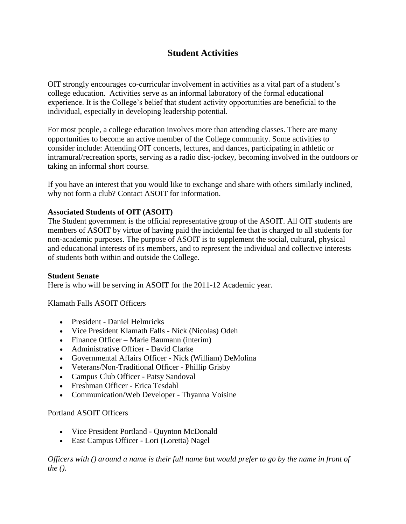OIT strongly encourages co-curricular involvement in activities as a vital part of a student's college education. Activities serve as an informal laboratory of the formal educational experience. It is the College's belief that student activity opportunities are beneficial to the individual, especially in developing leadership potential.

For most people, a college education involves more than attending classes. There are many opportunities to become an active member of the College community. Some activities to consider include: Attending OIT concerts, lectures, and dances, participating in athletic or intramural/recreation sports, serving as a radio disc-jockey, becoming involved in the outdoors or taking an informal short course.

If you have an interest that you would like to exchange and share with others similarly inclined, why not form a club? Contact ASOIT for information.

# **Associated Students of OIT (ASOIT)**

The Student government is the official representative group of the ASOIT. All OIT students are members of ASOIT by virtue of having paid the incidental fee that is charged to all students for non-academic purposes. The purpose of ASOIT is to supplement the social, cultural, physical and educational interests of its members, and to represent the individual and collective interests of students both within and outside the College.

#### **Student Senate**

Here is who will be serving in ASOIT for the 2011-12 Academic year.

Klamath Falls ASOIT Officers

- President Daniel Helmricks
- Vice President Klamath Falls Nick (Nicolas) Odeh
- Finance Officer Marie Baumann (interim)
- Administrative Officer David Clarke
- Governmental Affairs Officer Nick (William) DeMolina
- Veterans/Non-Traditional Officer Phillip Grisby
- Campus Club Officer Patsy Sandoval
- Freshman Officer Erica Tesdahl
- Communication/Web Developer Thyanna Voisine

# Portland ASOIT Officers

- Vice President Portland Quynton McDonald
- East Campus Officer Lori (Loretta) Nagel

*Officers with () around a name is their full name but would prefer to go by the name in front of the ().*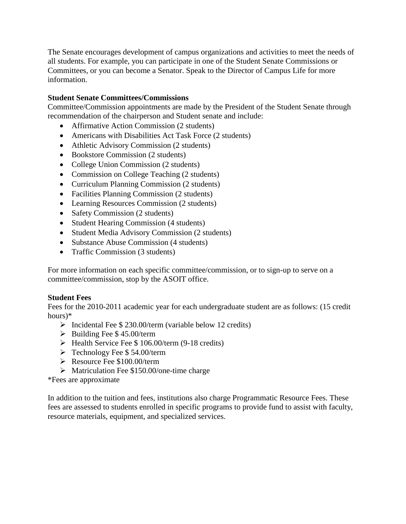The Senate encourages development of campus organizations and activities to meet the needs of all students. For example, you can participate in one of the Student Senate Commissions or Committees, or you can become a Senator. Speak to the Director of Campus Life for more information.

## **Student Senate Committees/Commissions**

Committee/Commission appointments are made by the President of the Student Senate through recommendation of the chairperson and Student senate and include:

- Affirmative Action Commission (2 students)
- Americans with Disabilities Act Task Force (2 students)
- Athletic Advisory Commission (2 students)
- Bookstore Commission (2 students)
- College Union Commission (2 students)
- Commission on College Teaching (2 students)
- Curriculum Planning Commission (2 students)
- Facilities Planning Commission (2 students)
- Learning Resources Commission (2 students)
- Safety Commission (2 students)
- Student Hearing Commission (4 students)
- Student Media Advisory Commission (2 students)
- Substance Abuse Commission (4 students)
- Traffic Commission (3 students)

For more information on each specific committee/commission, or to sign-up to serve on a committee/commission, stop by the ASOIT office.

#### **Student Fees**

Fees for the 2010-2011 academic year for each undergraduate student are as follows: (15 credit hours)\*

- $\triangleright$  Incidental Fee \$ 230.00/term (variable below 12 credits)
- $\triangleright$  Building Fee \$45.00/term
- $\blacktriangleright$  Health Service Fee \$ 106.00/term (9-18 credits)
- $\triangleright$  Technology Fee \$54.00/term
- $\triangleright$  Resource Fee \$100.00/term
- $\triangleright$  Matriculation Fee \$150.00/one-time charge

#### \*Fees are approximate

In addition to the tuition and fees, institutions also charge Programmatic Resource Fees. These fees are assessed to students enrolled in specific programs to provide fund to assist with faculty, resource materials, equipment, and specialized services.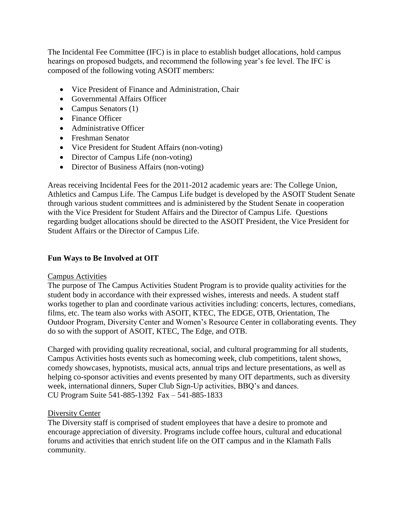The Incidental Fee Committee (IFC) is in place to establish budget allocations, hold campus hearings on proposed budgets, and recommend the following year's fee level. The IFC is composed of the following voting ASOIT members:

- Vice President of Finance and Administration, Chair
- Governmental Affairs Officer
- Campus Senators  $(1)$
- Finance Officer
- Administrative Officer
- Freshman Senator
- Vice President for Student Affairs (non-voting)
- Director of Campus Life (non-voting)
- Director of Business Affairs (non-voting)

Areas receiving Incidental Fees for the 2011-2012 academic years are: The College Union, Athletics and Campus Life. The Campus Life budget is developed by the ASOIT Student Senate through various student committees and is administered by the Student Senate in cooperation with the Vice President for Student Affairs and the Director of Campus Life. Questions regarding budget allocations should be directed to the ASOIT President, the Vice President for Student Affairs or the Director of Campus Life.

# **Fun Ways to Be Involved at OIT**

#### Campus Activities

The purpose of The Campus Activities Student Program is to provide quality activities for the student body in accordance with their expressed wishes, interests and needs. A student staff works together to plan and coordinate various activities including: concerts, lectures, comedians, films, etc. The team also works with ASOIT, KTEC, The EDGE, OTB, Orientation, The Outdoor Program, Diversity Center and Women's Resource Center in collaborating events. They do so with the support of ASOIT, KTEC, The Edge, and OTB.

Charged with providing quality recreational, social, and cultural programming for all students, Campus Activities hosts events such as homecoming week, club competitions, talent shows, comedy showcases, hypnotists, musical acts, annual trips and lecture presentations, as well as helping co-sponsor activities and events presented by many OIT departments, such as diversity week, international dinners, Super Club Sign-Up activities, BBQ's and dances. CU Program Suite 541-885-1392 Fax – 541-885-1833

# Diversity Center

The Diversity staff is comprised of student employees that have a desire to promote and encourage appreciation of diversity. Programs include coffee hours, cultural and educational forums and activities that enrich student life on the OIT campus and in the Klamath Falls community.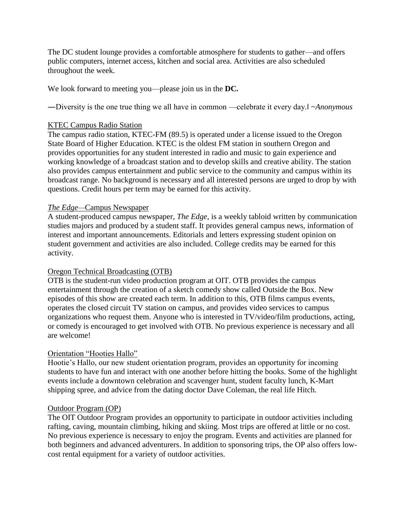The DC student lounge provides a comfortable atmosphere for students to gather—and offers public computers, internet access, kitchen and social area. Activities are also scheduled throughout the week.

We look forward to meeting you—please join us in the **DC.** 

―Diversity is the one true thing we all have in common —celebrate it every day.‖ *~Anonymous* 

#### KTEC Campus Radio Station

The campus radio station, KTEC-FM (89.5) is operated under a license issued to the Oregon State Board of Higher Education. KTEC is the oldest FM station in southern Oregon and provides opportunities for any student interested in radio and music to gain experience and working knowledge of a broadcast station and to develop skills and creative ability. The station also provides campus entertainment and public service to the community and campus within its broadcast range. No background is necessary and all interested persons are urged to drop by with questions. Credit hours per term may be earned for this activity.

#### *The Edge—*Campus Newspaper

A student-produced campus newspaper, *The Edge*, is a weekly tabloid written by communication studies majors and produced by a student staff. It provides general campus news, information of interest and important announcements. Editorials and letters expressing student opinion on student government and activities are also included. College credits may be earned for this activity.

#### Oregon Technical Broadcasting (OTB)

OTB is the student-run video production program at OIT. OTB provides the campus entertainment through the creation of a sketch comedy show called Outside the Box. New episodes of this show are created each term. In addition to this, OTB films campus events, operates the closed circuit TV station on campus, and provides video services to campus organizations who request them. Anyone who is interested in TV/video/film productions, acting, or comedy is encouraged to get involved with OTB. No previous experience is necessary and all are welcome!

#### Orientation "Hooties Hallo"

Hootie's Hallo, our new student orientation program, provides an opportunity for incoming students to have fun and interact with one another before hitting the books. Some of the highlight events include a downtown celebration and scavenger hunt, student faculty lunch, K-Mart shipping spree, and advice from the dating doctor Dave Coleman, the real life Hitch.

#### Outdoor Program (OP)

The OIT Outdoor Program provides an opportunity to participate in outdoor activities including rafting, caving, mountain climbing, hiking and skiing. Most trips are offered at little or no cost. No previous experience is necessary to enjoy the program. Events and activities are planned for both beginners and advanced adventurers. In addition to sponsoring trips, the OP also offers lowcost rental equipment for a variety of outdoor activities.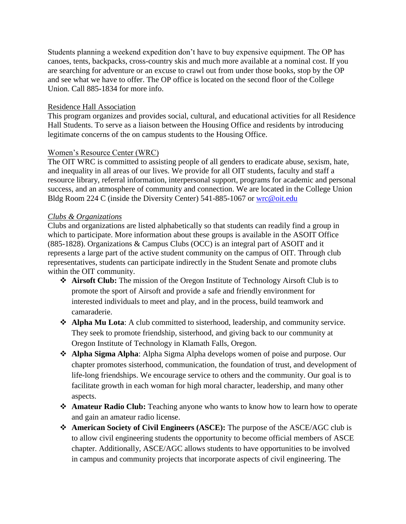Students planning a weekend expedition don't have to buy expensive equipment. The OP has canoes, tents, backpacks, cross-country skis and much more available at a nominal cost. If you are searching for adventure or an excuse to crawl out from under those books, stop by the OP and see what we have to offer. The OP office is located on the second floor of the College Union. Call 885-1834 for more info.

## Residence Hall Association

This program organizes and provides social, cultural, and educational activities for all Residence Hall Students. To serve as a liaison between the Housing Office and residents by introducing legitimate concerns of the on campus students to the Housing Office.

### Women's Resource Center (WRC)

The OIT WRC is committed to assisting people of all genders to eradicate abuse, sexism, hate, and inequality in all areas of our lives. We provide for all OIT students, faculty and staff a resource library, referral information, interpersonal support, programs for academic and personal success, and an atmosphere of community and connection. We are located in the College Union Bldg Room 224 C (inside the Diversity Center) 541-885-1067 or [wrc@oit.edu](mailto:wrc@oit.edu)

### *Clubs & Organizations*

Clubs and organizations are listed alphabetically so that students can readily find a group in which to participate. More information about these groups is available in the ASOIT Office (885-1828). Organizations & Campus Clubs (OCC) is an integral part of ASOIT and it represents a large part of the active student community on the campus of OIT. Through club representatives, students can participate indirectly in the Student Senate and promote clubs within the OIT community.

- **Airsoft Club:** The mission of the Oregon Institute of Technology Airsoft Club is to promote the sport of Airsoft and provide a safe and friendly environment for interested individuals to meet and play, and in the process, build teamwork and camaraderie.
- **Alpha Mu Lota**: A club committed to sisterhood, leadership, and community service. They seek to promote friendship, sisterhood, and giving back to our community at Oregon Institute of Technology in Klamath Falls, Oregon.
- **Alpha Sigma Alpha**: Alpha Sigma Alpha develops women of poise and purpose. Our chapter promotes sisterhood, communication, the foundation of trust, and development of life-long friendships. We encourage service to others and the community. Our goal is to facilitate growth in each woman for high moral character, leadership, and many other aspects.
- **Amateur Radio Club:** Teaching anyone who wants to know how to learn how to operate and gain an amateur radio license.
- **American Society of Civil Engineers (ASCE):** The purpose of the ASCE/AGC club is to allow civil engineering students the opportunity to become official members of ASCE chapter. Additionally, ASCE/AGC allows students to have opportunities to be involved in campus and community projects that incorporate aspects of civil engineering. The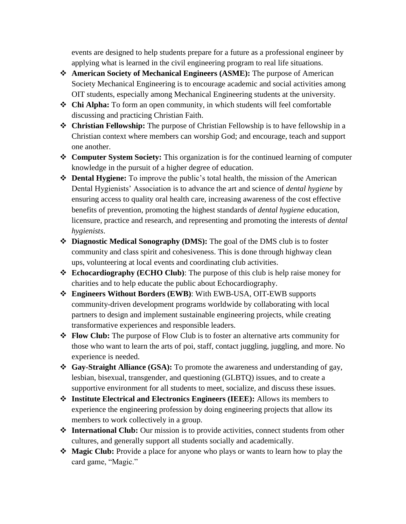events are designed to help students prepare for a future as a professional engineer by applying what is learned in the civil engineering program to real life situations.

- **American Society of Mechanical Engineers (ASME):** The purpose of American Society Mechanical Engineering is to encourage academic and social activities among OIT students, especially among Mechanical Engineering students at the university.
- **Chi Alpha:** To form an open community, in which students will feel comfortable discussing and practicing Christian Faith.
- **Christian Fellowship:** The purpose of Christian Fellowship is to have fellowship in a Christian context where members can worship God; and encourage, teach and support one another.
- **Computer System Society:** This organization is for the continued learning of computer knowledge in the pursuit of a higher degree of education.
- **Dental Hygiene:** To improve the public's total health, the mission of the American Dental Hygienists' Association is to advance the art and science of *dental hygiene* by ensuring access to quality oral health care, increasing awareness of the cost effective benefits of prevention, promoting the highest standards of *dental hygiene* education, licensure, practice and research, and representing and promoting the interests of *dental hygienists*.
- **Diagnostic Medical Sonography (DMS):** The goal of the DMS club is to foster community and class spirit and cohesiveness. This is done through highway clean ups, volunteering at local events and coordinating club activities.
- **Echocardiography (ECHO Club)**: The purpose of this club is help raise money for charities and to help educate the public about Echocardiography.
- **Engineers Without Borders (EWB)**: With EWB-USA, OIT-EWB supports community-driven development programs worldwide by collaborating with local partners to design and implement sustainable engineering projects, while creating transformative experiences and responsible leaders.
- **Flow Club:** The purpose of Flow Club is to foster an alternative arts community for those who want to learn the arts of poi, staff, contact juggling, juggling, and more. No experience is needed.
- **Gay-Straight Alliance (GSA):** To promote the awareness and understanding of gay, lesbian, bisexual, transgender, and questioning (GLBTQ) issues, and to create a supportive environment for all students to meet, socialize, and discuss these issues.
- **Institute Electrical and Electronics Engineers (IEEE):** Allows its members to experience the engineering profession by doing engineering projects that allow its members to work collectively in a group.
- **International Club:** Our mission is to provide activities, connect students from other cultures, and generally support all students socially and academically.
- **Magic Club:** Provide a place for anyone who plays or wants to learn how to play the card game, "Magic."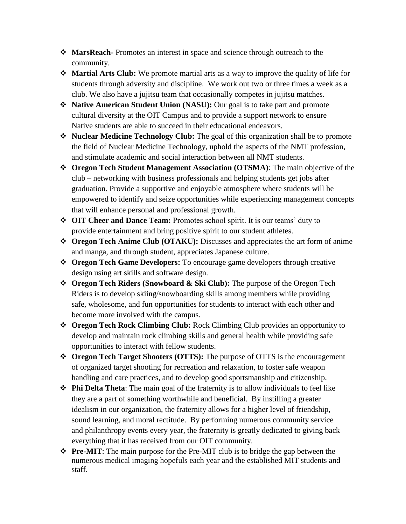- **MarsReach-** Promotes an interest in space and science through outreach to the community.
- **Martial Arts Club:** We promote martial arts as a way to improve the quality of life for students through adversity and discipline. We work out two or three times a week as a club. We also have a jujitsu team that occasionally competes in jujitsu matches.
- **Native American Student Union (NASU):** Our goal is to take part and promote cultural diversity at the OIT Campus and to provide a support network to ensure Native students are able to succeed in their educational endeavors.
- **Nuclear Medicine Technology Club:** The goal of this organization shall be to promote the field of Nuclear Medicine Technology, uphold the aspects of the NMT profession, and stimulate academic and social interaction between all NMT students.
- **Oregon Tech Student Management Association (OTSMA)**: The main objective of the club – networking with business professionals and helping students get jobs after graduation. Provide a supportive and enjoyable atmosphere where students will be empowered to identify and seize opportunities while experiencing management concepts that will enhance personal and professional growth.
- **OIT Cheer and Dance Team:** Promotes school spirit. It is our teams' duty to provide entertainment and bring positive spirit to our student athletes.
- **Oregon Tech Anime Club (OTAKU):** Discusses and appreciates the art form of anime and manga, and through student, appreciates Japanese culture.
- **Oregon Tech Game Developers:** To encourage game developers through creative design using art skills and software design.
- **Oregon Tech Riders (Snowboard & Ski Club):** The purpose of the Oregon Tech Riders is to develop skiing/snowboarding skills among members while providing safe, wholesome, and fun opportunities for students to interact with each other and become more involved with the campus.
- **Oregon Tech Rock Climbing Club:** Rock Climbing Club provides an opportunity to develop and maintain rock climbing skills and general health while providing safe opportunities to interact with fellow students.
- **Oregon Tech Target Shooters (OTTS):** The purpose of OTTS is the encouragement of organized target shooting for recreation and relaxation, to foster safe weapon handling and care practices, and to develop good sportsmanship and citizenship.
- **Phi Delta Theta**: The main goal of the fraternity is to allow individuals to feel like they are a part of something worthwhile and beneficial. By instilling a greater idealism in our organization, the fraternity allows for a higher level of friendship, sound learning, and moral rectitude. By performing numerous community service and philanthropy events every year, the fraternity is greatly dedicated to giving back everything that it has received from our OIT community.
- **Pre-MIT**: The main purpose for the Pre-MIT club is to bridge the gap between the numerous medical imaging hopefuls each year and the established MIT students and staff.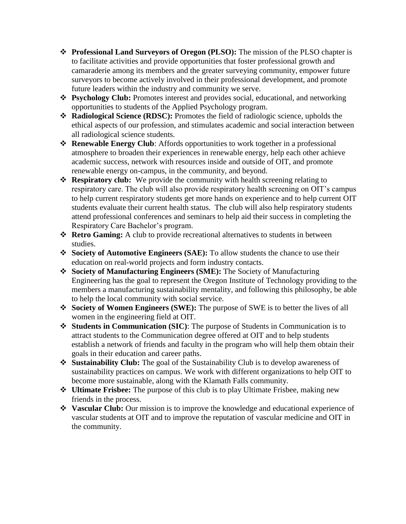- **Professional Land Surveyors of Oregon (PLSO):** The mission of the PLSO chapter is to facilitate activities and provide opportunities that foster professional growth and camaraderie among its members and the greater surveying community, empower future surveyors to become actively involved in their professional development, and promote future leaders within the industry and community we serve.
- **Psychology Club:** Promotes interest and provides social, educational, and networking opportunities to students of the Applied Psychology program.
- **Radiological Science (RDSC):** Promotes the field of radiologic science, upholds the ethical aspects of our profession, and stimulates academic and social interaction between all radiological science students.
- **Renewable Energy Club**: Affords opportunities to work together in a professional atmosphere to broaden their experiences in renewable energy, help each other achieve academic success, network with resources inside and outside of OIT, and promote renewable energy on-campus, in the community, and beyond.
- **Respiratory club:** We provide the community with health screening relating to respiratory care. The club will also provide respiratory health screening on OIT's campus to help current respiratory students get more hands on experience and to help current OIT students evaluate their current health status. The club will also help respiratory students attend professional conferences and seminars to help aid their success in completing the Respiratory Care Bachelor's program.
- **Retro Gaming:** A club to provide recreational alternatives to students in between studies.
- **Society of Automotive Engineers (SAE):** To allow students the chance to use their education on real-world projects and form industry contacts.
- **Society of Manufacturing Engineers (SME):** The Society of Manufacturing Engineering has the goal to represent the Oregon Institute of Technology providing to the members a manufacturing sustainability mentality, and following this philosophy, be able to help the local community with social service.
- **Society of Women Engineers (SWE):** The purpose of SWE is to better the lives of all women in the engineering field at OIT.
- **Students in Communication (SIC)**: The purpose of Students in Communication is to attract students to the Communication degree offered at OIT and to help students establish a network of friends and faculty in the program who will help them obtain their goals in their education and career paths.
- **Sustainability Club:** The goal of the Sustainability Club is to develop awareness of sustainability practices on campus. We work with different organizations to help OIT to become more sustainable, along with the Klamath Falls community.
- **Ultimate Frisbee:** The purpose of this club is to play Ultimate Frisbee, making new friends in the process.
- **Vascular Club:** Our mission is to improve the knowledge and educational experience of vascular students at OIT and to improve the reputation of vascular medicine and OIT in the community.